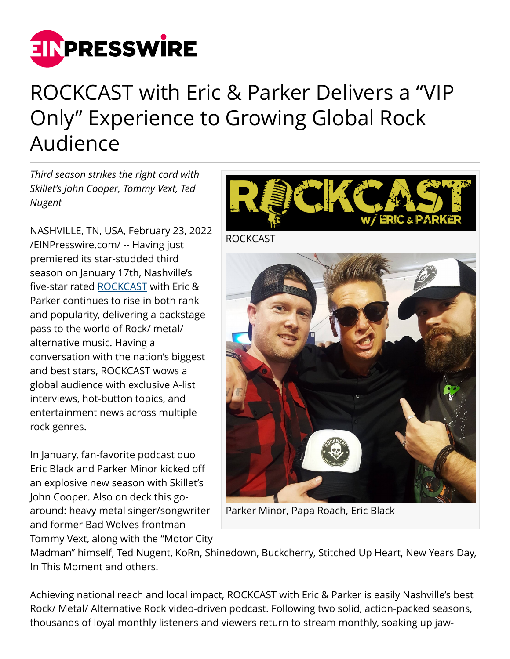

## ROCKCAST with Eric & Parker Delivers a "VIP Only" Experience to Growing Global Rock Audience

*Third season strikes the right cord with Skillet's John Cooper, Tommy Vext, Ted Nugent*

NASHVILLE, TN, USA, February 23, 2022 [/EINPresswire.com/](http://www.einpresswire.com) -- Having just premiered its star-studded third season on January 17th, Nashville's five-star rated [ROCKCAST](http://rockcastshow.com/) with Eric & Parker continues to rise in both rank and popularity, delivering a backstage pass to the world of Rock/ metal/ alternative music. Having a conversation with the nation's biggest and best stars, ROCKCAST wows a global audience with exclusive A-list interviews, hot-button topics, and entertainment news across multiple rock genres.

In January, fan-favorite podcast duo Eric Black and Parker Minor kicked off an explosive new season with Skillet's John Cooper. Also on deck this goaround: heavy metal singer/songwriter and former Bad Wolves frontman Tommy Vext, along with the "Motor City



Parker Minor, Papa Roach, Eric Black

Madman" himself, Ted Nugent, KoRn, Shinedown, Buckcherry, Stitched Up Heart, New Years Day, In This Moment and others.

Achieving national reach and local impact, ROCKCAST with Eric & Parker is easily Nashville's best Rock/ Metal/ Alternative Rock video-driven podcast. Following two solid, action-packed seasons, thousands of loyal monthly listeners and viewers return to stream monthly, soaking up jaw